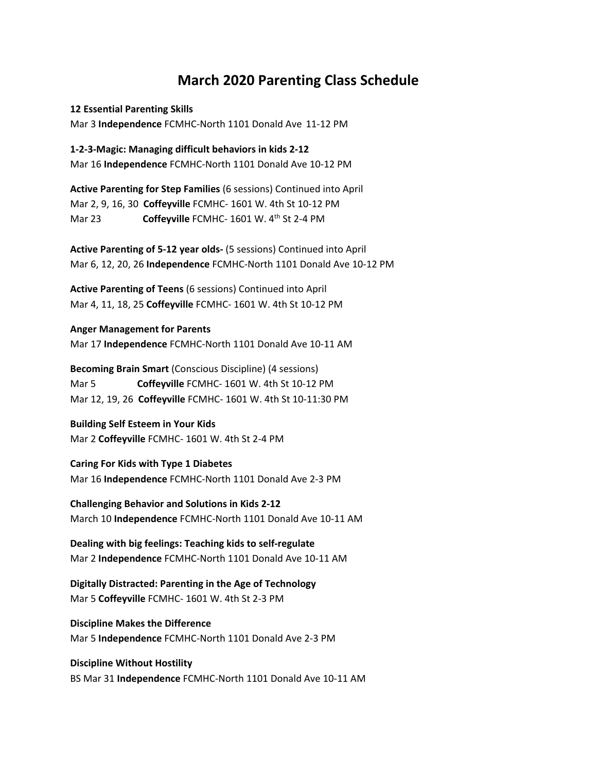## **March 2020 Parenting Class Schedule**

**12 Essential Parenting Skills** Mar 3 **Independence** FCMHC-North 1101 Donald Ave 11-12 PM

**1-2-3-Magic: Managing difficult behaviors in kids 2-12** Mar 16 **Independence** FCMHC-North 1101 Donald Ave 10-12 PM

**Active Parenting for Step Families** (6 sessions) Continued into April Mar 2, 9, 16, 30 **Coffeyville** FCMHC- 1601 W. 4th St 10-12 PM Mar 23 **Coffeyville** FCMHC- 1601 W. 4<sup>th</sup> St 2-4 PM

**Active Parenting of 5-12 year olds-** (5 sessions) Continued into April Mar 6, 12, 20, 26 **Independence** FCMHC-North 1101 Donald Ave 10-12 PM

**Active Parenting of Teens** (6 sessions) Continued into April Mar 4, 11, 18, 25 **Coffeyville** FCMHC- 1601 W. 4th St 10-12 PM

## **Anger Management for Parents**

Mar 17 **Independence** FCMHC-North 1101 Donald Ave 10-11 AM

**Becoming Brain Smart** (Conscious Discipline) (4 sessions) Mar 5 **Coffeyville** FCMHC- 1601 W. 4th St 10-12 PM Mar 12, 19, 26 **Coffeyville** FCMHC- 1601 W. 4th St 10-11:30 PM

**Building Self Esteem in Your Kids** Mar 2 **Coffeyville** FCMHC- 1601 W. 4th St 2-4 PM

**Caring For Kids with Type 1 Diabetes** Mar 16 **Independence** FCMHC-North 1101 Donald Ave 2-3 PM

**Challenging Behavior and Solutions in Kids 2-12** March 10 **Independence** FCMHC-North 1101 Donald Ave 10-11 AM

**Dealing with big feelings: Teaching kids to self-regulate** Mar 2 **Independence** FCMHC-North 1101 Donald Ave 10-11 AM

**Digitally Distracted: Parenting in the Age of Technology** Mar 5 **Coffeyville** FCMHC- 1601 W. 4th St 2-3 PM

**Discipline Makes the Difference** Mar 5 **Independence** FCMHC-North 1101 Donald Ave 2-3 PM

**Discipline Without Hostility**  BS Mar 31 **Independence** FCMHC-North 1101 Donald Ave 10-11 AM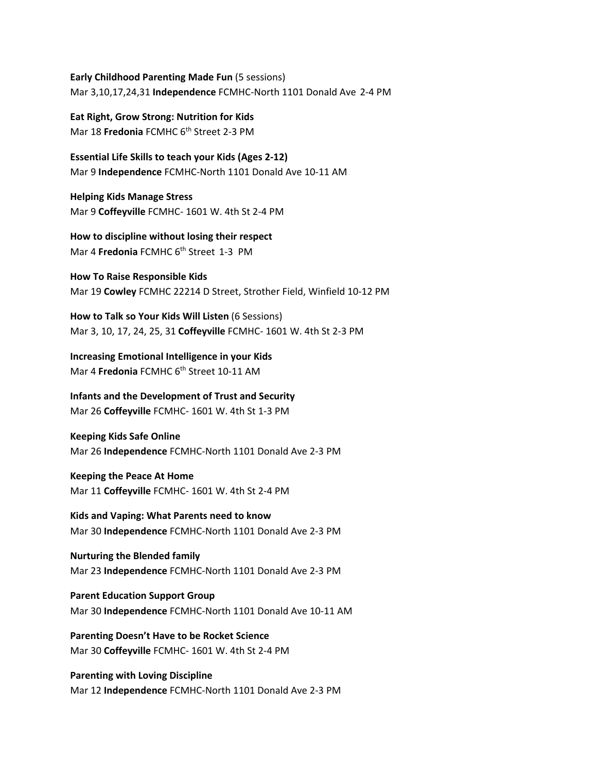**Early Childhood Parenting Made Fun** (5 sessions) Mar 3,10,17,24,31 **Independence** FCMHC-North 1101 Donald Ave 2-4 PM

**Eat Right, Grow Strong: Nutrition for Kids** Mar 18 **Fredonia** FCMHC 6<sup>th</sup> Street 2-3 PM

**Essential Life Skills to teach your Kids (Ages 2-12)**  Mar 9 **Independence** FCMHC-North 1101 Donald Ave 10-11 AM

**Helping Kids Manage Stress** Mar 9 **Coffeyville** FCMHC- 1601 W. 4th St 2-4 PM

**How to discipline without losing their respect**  Mar 4 **Fredonia** FCMHC 6<sup>th</sup> Street 1-3 PM

**How To Raise Responsible Kids** Mar 19 **Cowley** FCMHC 22214 D Street, Strother Field, Winfield 10-12 PM

**How to Talk so Your Kids Will Listen** (6 Sessions) Mar 3, 10, 17, 24, 25, 31 **Coffeyville** FCMHC- 1601 W. 4th St 2-3 PM

**Increasing Emotional Intelligence in your Kids** Mar 4 **Fredonia** FCMHC 6<sup>th</sup> Street 10-11 AM

**Infants and the Development of Trust and Security** Mar 26 **Coffeyville** FCMHC- 1601 W. 4th St 1-3 PM

**Keeping Kids Safe Online**  Mar 26 **Independence** FCMHC-North 1101 Donald Ave 2-3 PM

**Keeping the Peace At Home** Mar 11 **Coffeyville** FCMHC- 1601 W. 4th St 2-4 PM

**Kids and Vaping: What Parents need to know** Mar 30 **Independence** FCMHC-North 1101 Donald Ave 2-3 PM

**Nurturing the Blended family** Mar 23 **Independence** FCMHC-North 1101 Donald Ave 2-3 PM

**Parent Education Support Group** Mar 30 **Independence** FCMHC-North 1101 Donald Ave 10-11 AM

**Parenting Doesn't Have to be Rocket Science** Mar 30 **Coffeyville** FCMHC- 1601 W. 4th St 2-4 PM

**Parenting with Loving Discipline** Mar 12 **Independence** FCMHC-North 1101 Donald Ave 2-3 PM